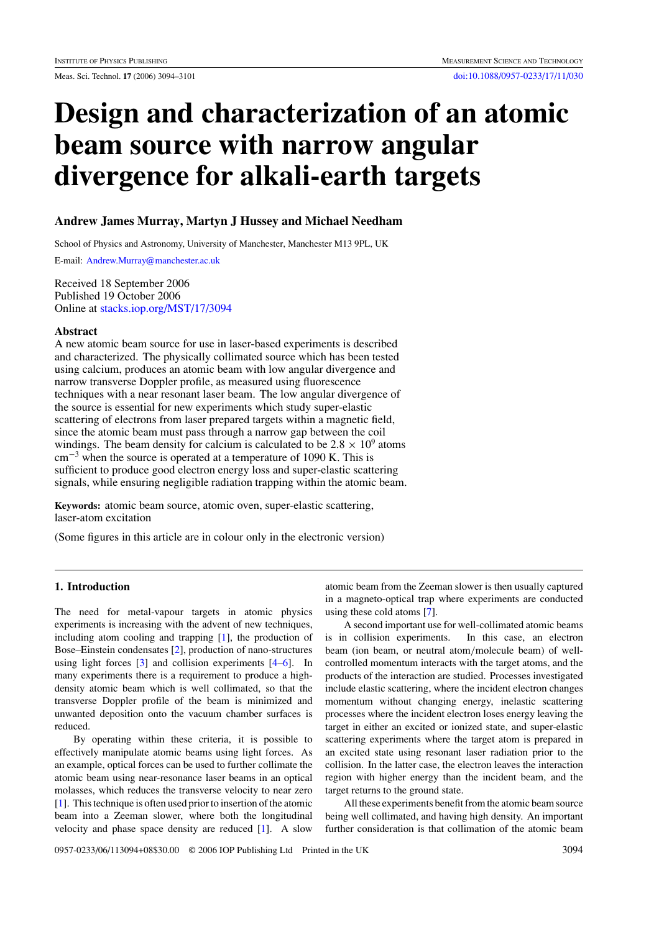# **Design and characterization of an atomic beam source with narrow angular divergence for alkali-earth targets**

## **Andrew James Murray, Martyn J Hussey and Michael Needham**

School of Physics and Astronomy, University of Manchester, Manchester M13 9PL, UK

E-mail: [Andrew.Murray@manchester.ac.uk](mailto:Andrew.Murray@manchester.ac.uk)

Received 18 September 2006 Published 19 October 2006 Online at [stacks.iop.org/MST/17/3094](http://stacks.iop.org/MST/17/3094)

#### **Abstract**

A new atomic beam source for use in laser-based experiments is described and characterized. The physically collimated source which has been tested using calcium, produces an atomic beam with low angular divergence and narrow transverse Doppler profile, as measured using fluorescence techniques with a near resonant laser beam. The low angular divergence of the source is essential for new experiments which study super-elastic scattering of electrons from laser prepared targets within a magnetic field, since the atomic beam must pass through a narrow gap between the coil windings. The beam density for calcium is calculated to be  $2.8 \times 10^9$  atoms  $cm^{-3}$  when the source is operated at a temperature of 1090 K. This is sufficient to produce good electron energy loss and super-elastic scattering signals, while ensuring negligible radiation trapping within the atomic beam.

**Keywords:** atomic beam source, atomic oven, super-elastic scattering, laser-atom excitation

(Some figures in this article are in colour only in the electronic version)

# **1. Introduction**

The need for metal-vapour targets in atomic physics experiments is increasing with the advent of new techniques, including atom cooling and trapping [\[1\]](#page-7-0), the production of Bose–Einstein condensates [\[2](#page-7-0)], production of nano-structures using light forces [\[3\]](#page-7-0) and collision experiments [\[4–6](#page-7-0)]. In many experiments there is a requirement to produce a highdensity atomic beam which is well collimated, so that the transverse Doppler profile of the beam is minimized and unwanted deposition onto the vacuum chamber surfaces is reduced.

By operating within these criteria, it is possible to effectively manipulate atomic beams using light forces. As an example, optical forces can be used to further collimate the atomic beam using near-resonance laser beams in an optical molasses, which reduces the transverse velocity to near zero [\[1](#page-7-0)]. This technique is often used prior to insertion of the atomic beam into a Zeeman slower, where both the longitudinal velocity and phase space density are reduced [\[1](#page-7-0)]. A slow

atomic beam from the Zeeman slower is then usually captured in a magneto-optical trap where experiments are conducted using these cold atoms [\[7\]](#page-7-0).

A second important use for well-collimated atomic beams is in collision experiments. In this case, an electron beam (ion beam, or neutral atom*/*molecule beam) of wellcontrolled momentum interacts with the target atoms, and the products of the interaction are studied. Processes investigated include elastic scattering, where the incident electron changes momentum without changing energy, inelastic scattering processes where the incident electron loses energy leaving the target in either an excited or ionized state, and super-elastic scattering experiments where the target atom is prepared in an excited state using resonant laser radiation prior to the collision. In the latter case, the electron leaves the interaction region with higher energy than the incident beam, and the target returns to the ground state.

All these experiments benefit from the atomic beam source being well collimated, and having high density. An important further consideration is that collimation of the atomic beam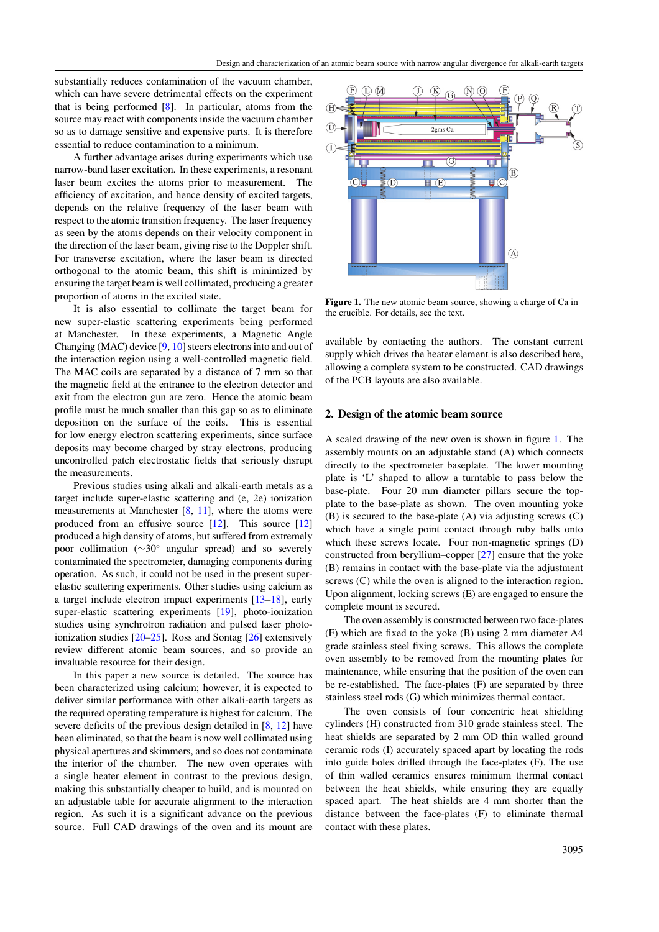substantially reduces contamination of the vacuum chamber, which can have severe detrimental effects on the experiment that is being performed [\[8\]](#page-7-0). In particular, atoms from the source may react with components inside the vacuum chamber so as to damage sensitive and expensive parts. It is therefore essential to reduce contamination to a minimum.

A further advantage arises during experiments which use narrow-band laser excitation. In these experiments, a resonant laser beam excites the atoms prior to measurement. The efficiency of excitation, and hence density of excited targets, depends on the relative frequency of the laser beam with respect to the atomic transition frequency. The laser frequency as seen by the atoms depends on their velocity component in the direction of the laser beam, giving rise to the Doppler shift. For transverse excitation, where the laser beam is directed orthogonal to the atomic beam, this shift is minimized by ensuring the target beam is well collimated, producing a greater proportion of atoms in the excited state.

It is also essential to collimate the target beam for new super-elastic scattering experiments being performed at Manchester. In these experiments, a Magnetic Angle Changing (MAC) device [\[9](#page-7-0), [10\]](#page-7-0) steers electrons into and out of the interaction region using a well-controlled magnetic field. The MAC coils are separated by a distance of 7 mm so that the magnetic field at the entrance to the electron detector and exit from the electron gun are zero. Hence the atomic beam profile must be much smaller than this gap so as to eliminate deposition on the surface of the coils. This is essential for low energy electron scattering experiments, since surface deposits may become charged by stray electrons, producing uncontrolled patch electrostatic fields that seriously disrupt the measurements.

Previous studies using alkali and alkali-earth metals as a target include super-elastic scattering and (e, 2e) ionization measurements at Manchester [\[8](#page-7-0), [11\]](#page-7-0), where the atoms were produced from an effusive source [\[12](#page-7-0)]. This source [\[12](#page-7-0)] produced a high density of atoms, but suffered from extremely poor collimation (∼30◦ angular spread) and so severely contaminated the spectrometer, damaging components during operation. As such, it could not be used in the present superelastic scattering experiments. Other studies using calcium as a target include electron impact experiments [\[13–18\]](#page-7-0), early super-elastic scattering experiments [\[19](#page-7-0)], photo-ionization studies using synchrotron radiation and pulsed laser photoionization studies [\[20–25](#page-7-0)]. Ross and Sontag [\[26\]](#page-7-0) extensively review different atomic beam sources, and so provide an invaluable resource for their design.

In this paper a new source is detailed. The source has been characterized using calcium; however, it is expected to deliver similar performance with other alkali-earth targets as the required operating temperature is highest for calcium. The severe deficits of the previous design detailed in [\[8](#page-7-0), [12\]](#page-7-0) have been eliminated, so that the beam is now well collimated using physical apertures and skimmers, and so does not contaminate the interior of the chamber. The new oven operates with a single heater element in contrast to the previous design, making this substantially cheaper to build, and is mounted on an adjustable table for accurate alignment to the interaction region. As such it is a significant advance on the previous source. Full CAD drawings of the oven and its mount are



Figure 1. The new atomic beam source, showing a charge of Ca in the crucible. For details, see the text.

available by contacting the authors. The constant current supply which drives the heater element is also described here, allowing a complete system to be constructed. CAD drawings of the PCB layouts are also available.

#### **2. Design of the atomic beam source**

A scaled drawing of the new oven is shown in figure 1. The assembly mounts on an adjustable stand (A) which connects directly to the spectrometer baseplate. The lower mounting plate is 'L' shaped to allow a turntable to pass below the base-plate. Four 20 mm diameter pillars secure the topplate to the base-plate as shown. The oven mounting yoke (B) is secured to the base-plate (A) via adjusting screws (C) which have a single point contact through ruby balls onto which these screws locate. Four non-magnetic springs (D) constructed from beryllium–copper [\[27\]](#page-7-0) ensure that the yoke (B) remains in contact with the base-plate via the adjustment screws (C) while the oven is aligned to the interaction region. Upon alignment, locking screws (E) are engaged to ensure the complete mount is secured.

The oven assembly is constructed between two face-plates (F) which are fixed to the yoke (B) using 2 mm diameter A4 grade stainless steel fixing screws. This allows the complete oven assembly to be removed from the mounting plates for maintenance, while ensuring that the position of the oven can be re-established. The face-plates (F) are separated by three stainless steel rods (G) which minimizes thermal contact.

The oven consists of four concentric heat shielding cylinders (H) constructed from 310 grade stainless steel. The heat shields are separated by 2 mm OD thin walled ground ceramic rods (I) accurately spaced apart by locating the rods into guide holes drilled through the face-plates (F). The use of thin walled ceramics ensures minimum thermal contact between the heat shields, while ensuring they are equally spaced apart. The heat shields are 4 mm shorter than the distance between the face-plates (F) to eliminate thermal contact with these plates.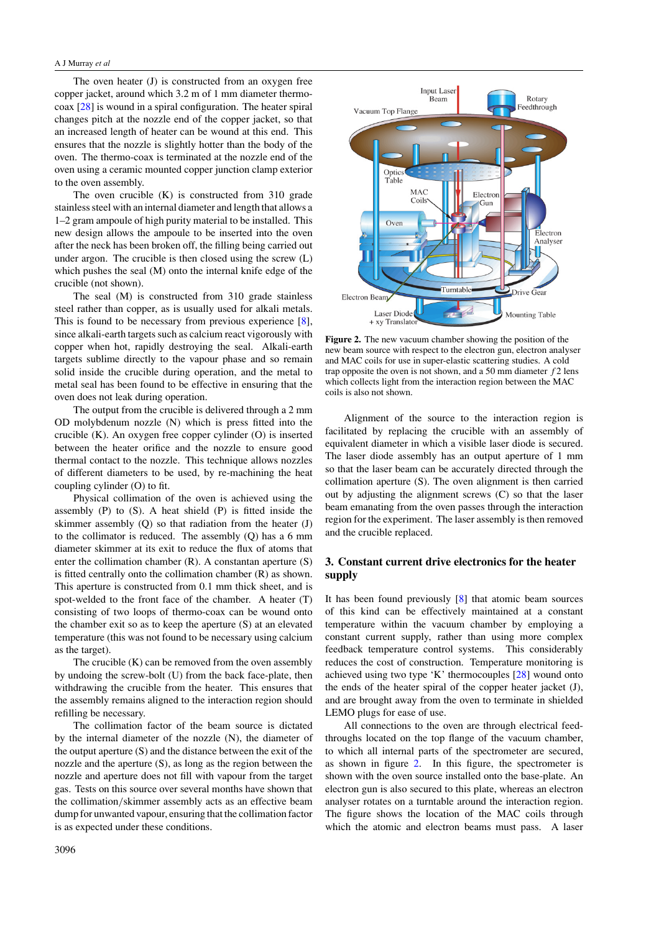#### <span id="page-2-0"></span>A J Murray *et al*

The oven heater (J) is constructed from an oxygen free copper jacket, around which 3.2 m of 1 mm diameter thermocoax [\[28\]](#page-7-0) is wound in a spiral configuration. The heater spiral changes pitch at the nozzle end of the copper jacket, so that an increased length of heater can be wound at this end. This ensures that the nozzle is slightly hotter than the body of the oven. The thermo-coax is terminated at the nozzle end of the oven using a ceramic mounted copper junction clamp exterior to the oven assembly.

The oven crucible  $(K)$  is constructed from 310 grade stainless steel with an internal diameter and length that allows a 1–2 gram ampoule of high purity material to be installed. This new design allows the ampoule to be inserted into the oven after the neck has been broken off, the filling being carried out under argon. The crucible is then closed using the screw (L) which pushes the seal (M) onto the internal knife edge of the crucible (not shown).

The seal (M) is constructed from 310 grade stainless steel rather than copper, as is usually used for alkali metals. This is found to be necessary from previous experience [\[8\]](#page-7-0), since alkali-earth targets such as calcium react vigorously with copper when hot, rapidly destroying the seal. Alkali-earth targets sublime directly to the vapour phase and so remain solid inside the crucible during operation, and the metal to metal seal has been found to be effective in ensuring that the oven does not leak during operation.

The output from the crucible is delivered through a 2 mm OD molybdenum nozzle (N) which is press fitted into the crucible (K). An oxygen free copper cylinder (O) is inserted between the heater orifice and the nozzle to ensure good thermal contact to the nozzle. This technique allows nozzles of different diameters to be used, by re-machining the heat coupling cylinder (O) to fit.

Physical collimation of the oven is achieved using the assembly (P) to (S). A heat shield (P) is fitted inside the skimmer assembly (Q) so that radiation from the heater (J) to the collimator is reduced. The assembly (Q) has a 6 mm diameter skimmer at its exit to reduce the flux of atoms that enter the collimation chamber (R). A constantan aperture (S) is fitted centrally onto the collimation chamber (R) as shown. This aperture is constructed from 0.1 mm thick sheet, and is spot-welded to the front face of the chamber. A heater (T) consisting of two loops of thermo-coax can be wound onto the chamber exit so as to keep the aperture (S) at an elevated temperature (this was not found to be necessary using calcium as the target).

The crucible (K) can be removed from the oven assembly by undoing the screw-bolt (U) from the back face-plate, then withdrawing the crucible from the heater. This ensures that the assembly remains aligned to the interaction region should refilling be necessary.

The collimation factor of the beam source is dictated by the internal diameter of the nozzle (N), the diameter of the output aperture (S) and the distance between the exit of the nozzle and the aperture (S), as long as the region between the nozzle and aperture does not fill with vapour from the target gas. Tests on this source over several months have shown that the collimation*/*skimmer assembly acts as an effective beam dump for unwanted vapour, ensuring that the collimation factor is as expected under these conditions.



**Figure 2.** The new vacuum chamber showing the position of the new beam source with respect to the electron gun, electron analyser and MAC coils for use in super-elastic scattering studies. A cold trap opposite the oven is not shown, and a 50 mm diameter *f* 2 lens which collects light from the interaction region between the MAC coils is also not shown.

Alignment of the source to the interaction region is facilitated by replacing the crucible with an assembly of equivalent diameter in which a visible laser diode is secured. The laser diode assembly has an output aperture of 1 mm so that the laser beam can be accurately directed through the collimation aperture (S). The oven alignment is then carried out by adjusting the alignment screws (C) so that the laser beam emanating from the oven passes through the interaction region for the experiment. The laser assembly is then removed and the crucible replaced.

# **3. Constant current drive electronics for the heater supply**

It has been found previously  $[8]$  $[8]$  that atomic beam sources of this kind can be effectively maintained at a constant temperature within the vacuum chamber by employing a constant current supply, rather than using more complex feedback temperature control systems. This considerably reduces the cost of construction. Temperature monitoring is achieved using two type 'K' thermocouples [\[28\]](#page-7-0) wound onto the ends of the heater spiral of the copper heater jacket (J), and are brought away from the oven to terminate in shielded LEMO plugs for ease of use.

All connections to the oven are through electrical feedthroughs located on the top flange of the vacuum chamber, to which all internal parts of the spectrometer are secured, as shown in figure 2. In this figure, the spectrometer is shown with the oven source installed onto the base-plate. An electron gun is also secured to this plate, whereas an electron analyser rotates on a turntable around the interaction region. The figure shows the location of the MAC coils through which the atomic and electron beams must pass. A laser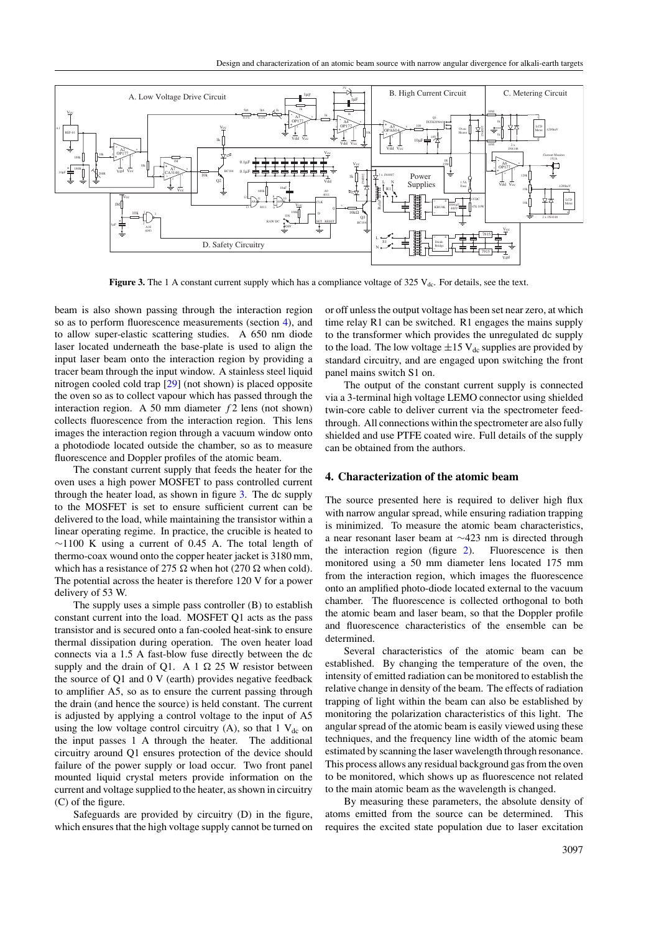

**Figure 3.** The 1 A constant current supply which has a compliance voltage of  $325$  V<sub>dc</sub>. For details, see the text.

beam is also shown passing through the interaction region so as to perform fluorescence measurements (section 4), and to allow super-elastic scattering studies. A 650 nm diode laser located underneath the base-plate is used to align the input laser beam onto the interaction region by providing a tracer beam through the input window. A stainless steel liquid nitrogen cooled cold trap [\[29](#page-7-0)] (not shown) is placed opposite the oven so as to collect vapour which has passed through the interaction region. A 50 mm diameter *f* 2 lens (not shown) collects fluorescence from the interaction region. This lens images the interaction region through a vacuum window onto a photodiode located outside the chamber, so as to measure fluorescence and Doppler profiles of the atomic beam.

The constant current supply that feeds the heater for the oven uses a high power MOSFET to pass controlled current through the heater load, as shown in figure 3. The dc supply to the MOSFET is set to ensure sufficient current can be delivered to the load, while maintaining the transistor within a linear operating regime. In practice, the crucible is heated to  $∼1100$  K using a current of 0.45 A. The total length of thermo-coax wound onto the copper heater jacket is 3180 mm, which has a resistance of 275  $\Omega$  when hot (270  $\Omega$  when cold). The potential across the heater is therefore 120 V for a power delivery of 53 W.

The supply uses a simple pass controller (B) to establish constant current into the load. MOSFET Q1 acts as the pass transistor and is secured onto a fan-cooled heat-sink to ensure thermal dissipation during operation. The oven heater load connects via a 1.5 A fast-blow fuse directly between the dc supply and the drain of Q1. A 1  $\Omega$  25 W resistor between the source of Q1 and 0 V (earth) provides negative feedback to amplifier A5, so as to ensure the current passing through the drain (and hence the source) is held constant. The current is adjusted by applying a control voltage to the input of A5 using the low voltage control circuitry  $(A)$ , so that 1  $V_{dc}$  on the input passes 1 A through the heater. The additional circuitry around Q1 ensures protection of the device should failure of the power supply or load occur. Two front panel mounted liquid crystal meters provide information on the current and voltage supplied to the heater, as shown in circuitry (C) of the figure.

Safeguards are provided by circuitry (D) in the figure, which ensures that the high voltage supply cannot be turned on or off unless the output voltage has been set near zero, at which time relay R1 can be switched. R1 engages the mains supply to the transformer which provides the unregulated dc supply to the load. The low voltage  $\pm 15$  V<sub>dc</sub> supplies are provided by standard circuitry, and are engaged upon switching the front panel mains switch S1 on.

The output of the constant current supply is connected via a 3-terminal high voltage LEMO connector using shielded twin-core cable to deliver current via the spectrometer feedthrough. All connections within the spectrometer are also fully shielded and use PTFE coated wire. Full details of the supply can be obtained from the authors.

## **4. Characterization of the atomic beam**

The source presented here is required to deliver high flux with narrow angular spread, while ensuring radiation trapping is minimized. To measure the atomic beam characteristics, a near resonant laser beam at ~423 nm is directed through the interaction region (figure 2). Fluorescence is then the interaction region (figure  $2$ ). monitored using a 50 mm diameter lens located 175 mm from the interaction region, which images the fluorescence onto an amplified photo-diode located external to the vacuum chamber. The fluorescence is collected orthogonal to both the atomic beam and laser beam, so that the Doppler profile and fluorescence characteristics of the ensemble can be determined.

Several characteristics of the atomic beam can be established. By changing the temperature of the oven, the intensity of emitted radiation can be monitored to establish the relative change in density of the beam. The effects of radiation trapping of light within the beam can also be established by monitoring the polarization characteristics of this light. The angular spread of the atomic beam is easily viewed using these techniques, and the frequency line width of the atomic beam estimated by scanning the laser wavelength through resonance. This process allows any residual background gas from the oven to be monitored, which shows up as fluorescence not related to the main atomic beam as the wavelength is changed.

By measuring these parameters, the absolute density of atoms emitted from the source can be determined. This requires the excited state population due to laser excitation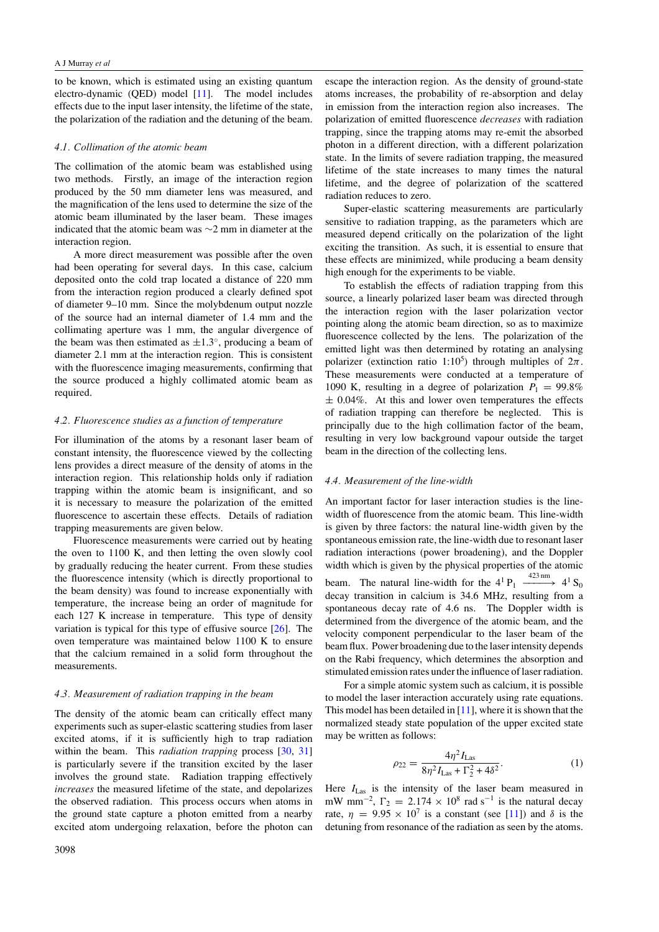<span id="page-4-0"></span>to be known, which is estimated using an existing quantum electro-dynamic (QED) model [\[11\]](#page-7-0). The model includes effects due to the input laser intensity, the lifetime of the state, the polarization of the radiation and the detuning of the beam.

#### *4.1. Collimation of the atomic beam*

The collimation of the atomic beam was established using two methods. Firstly, an image of the interaction region produced by the 50 mm diameter lens was measured, and the magnification of the lens used to determine the size of the atomic beam illuminated by the laser beam. These images indicated that the atomic beam was ∼2 mm in diameter at the interaction region.

A more direct measurement was possible after the oven had been operating for several days. In this case, calcium deposited onto the cold trap located a distance of 220 mm from the interaction region produced a clearly defined spot of diameter 9–10 mm. Since the molybdenum output nozzle of the source had an internal diameter of 1.4 mm and the collimating aperture was 1 mm, the angular divergence of the beam was then estimated as  $\pm 1.3^\circ$ , producing a beam of diameter 2.1 mm at the interaction region. This is consistent with the fluorescence imaging measurements, confirming that the source produced a highly collimated atomic beam as required.

#### *4.2. Fluorescence studies as a function of temperature*

For illumination of the atoms by a resonant laser beam of constant intensity, the fluorescence viewed by the collecting lens provides a direct measure of the density of atoms in the interaction region. This relationship holds only if radiation trapping within the atomic beam is insignificant, and so it is necessary to measure the polarization of the emitted fluorescence to ascertain these effects. Details of radiation trapping measurements are given below.

Fluorescence measurements were carried out by heating the oven to 1100 K, and then letting the oven slowly cool by gradually reducing the heater current. From these studies the fluorescence intensity (which is directly proportional to the beam density) was found to increase exponentially with temperature, the increase being an order of magnitude for each 127 K increase in temperature. This type of density variation is typical for this type of effusive source  $[26]$  $[26]$ . The oven temperature was maintained below 1100 K to ensure that the calcium remained in a solid form throughout the measurements.

#### *4.3. Measurement of radiation trapping in the beam*

The density of the atomic beam can critically effect many experiments such as super-elastic scattering studies from laser excited atoms, if it is sufficiently high to trap radiation within the beam. This *radiation trapping* process [\[30](#page-7-0), [31](#page-7-0)] is particularly severe if the transition excited by the laser involves the ground state. Radiation trapping effectively *increases* the measured lifetime of the state, and depolarizes the observed radiation. This process occurs when atoms in the ground state capture a photon emitted from a nearby excited atom undergoing relaxation, before the photon can escape the interaction region. As the density of ground-state atoms increases, the probability of re-absorption and delay in emission from the interaction region also increases. The polarization of emitted fluorescence *decreases* with radiation trapping, since the trapping atoms may re-emit the absorbed photon in a different direction, with a different polarization state. In the limits of severe radiation trapping, the measured lifetime of the state increases to many times the natural lifetime, and the degree of polarization of the scattered radiation reduces to zero.

Super-elastic scattering measurements are particularly sensitive to radiation trapping, as the parameters which are measured depend critically on the polarization of the light exciting the transition. As such, it is essential to ensure that these effects are minimized, while producing a beam density high enough for the experiments to be viable.

To establish the effects of radiation trapping from this source, a linearly polarized laser beam was directed through the interaction region with the laser polarization vector pointing along the atomic beam direction, so as to maximize fluorescence collected by the lens. The polarization of the emitted light was then determined by rotating an analysing polarizer (extinction ratio 1:10<sup>5</sup>) through multiples of  $2\pi$ . These measurements were conducted at a temperature of 1090 K, resulting in a degree of polarization  $P_1 = 99.8\%$  $\pm$  0.04%. At this and lower oven temperatures the effects of radiation trapping can therefore be neglected. This is principally due to the high collimation factor of the beam, resulting in very low background vapour outside the target beam in the direction of the collecting lens.

#### *4.4. Measurement of the line-width*

An important factor for laser interaction studies is the linewidth of fluorescence from the atomic beam. This line-width is given by three factors: the natural line-width given by the spontaneous emission rate, the line-width due to resonant laser radiation interactions (power broadening), and the Doppler width which is given by the physical properties of the atomic beam. The natural line-width for the  $4^1 P_1 \xrightarrow{423 \text{ nm}} 4^1 S_0$ decay transition in calcium is 34.6 MHz, resulting from a spontaneous decay rate of 4.6 ns. The Doppler width is determined from the divergence of the atomic beam, and the velocity component perpendicular to the laser beam of the beam flux. Power broadening due to the laser intensity depends on the Rabi frequency, which determines the absorption and stimulated emission rates under the influence of laser radiation.

For a simple atomic system such as calcium, it is possible to model the laser interaction accurately using rate equations. This model has been detailed in  $[11]$  $[11]$ , where it is shown that the normalized steady state population of the upper excited state may be written as follows:

$$
\rho_{22} = \frac{4\eta^2 I_{\text{Las}}}{8\eta^2 I_{\text{Las}} + \Gamma_2^2 + 4\delta^2}.
$$
\n(1)

Here  $I_{\text{Las}}$  is the intensity of the laser beam measured in mW mm<sup>-2</sup>,  $\Gamma_2 = 2.174 \times 10^8$  rad s<sup>-1</sup> is the natural decay rate,  $\eta = 9.95 \times 10^7$  is a constant (see [\[11\]](#page-7-0)) and  $\delta$  is the detuning from resonance of the radiation as seen by the atoms.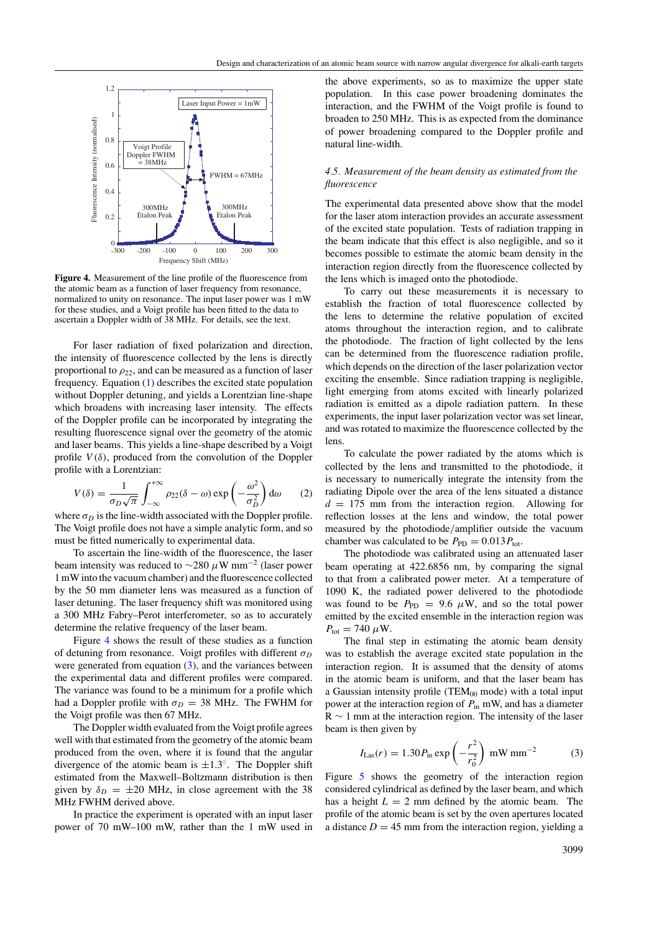

**Figure 4.** Measurement of the line profile of the fluorescence from the atomic beam as a function of laser frequency from resonance, normalized to unity on resonance. The input laser power was 1 mW for these studies, and a Voigt profile has been fitted to the data to ascertain a Doppler width of 38 MHz. For details, see the text.

For laser radiation of fixed polarization and direction, the intensity of fluorescence collected by the lens is directly proportional to  $\rho_{22}$ , and can be measured as a function of laser frequency. Equation [\(1\)](#page-4-0) describes the excited state population without Doppler detuning, and yields a Lorentzian line-shape which broadens with increasing laser intensity. The effects of the Doppler profile can be incorporated by integrating the resulting fluorescence signal over the geometry of the atomic and laser beams. This yields a line-shape described by a Voigt profile  $V(\delta)$ , produced from the convolution of the Doppler profile with a Lorentzian:

$$
V(\delta) = \frac{1}{\sigma_D \sqrt{\pi}} \int_{-\infty}^{+\infty} \rho_{22} (\delta - \omega) \exp\left(-\frac{\omega^2}{\sigma_D^2}\right) d\omega \qquad (2)
$$

where  $\sigma_D$  is the line-width associated with the Doppler profile. The Voigt profile does not have a simple analytic form, and so must be fitted numerically to experimental data.

To ascertain the line-width of the fluorescence, the laser beam intensity was reduced to <sup>∼</sup><sup>280</sup> *<sup>µ</sup>*W mm−<sup>2</sup> (laser power 1 mW into the vacuum chamber) and the fluorescence collected by the 50 mm diameter lens was measured as a function of laser detuning. The laser frequency shift was monitored using a 300 MHz Fabry–Perot interferometer, so as to accurately determine the relative frequency of the laser beam.

Figure 4 shows the result of these studies as a function of detuning from resonance. Voigt profiles with different  $\sigma_D$ were generated from equation (3), and the variances between the experimental data and different profiles were compared. The variance was found to be a minimum for a profile which had a Doppler profile with  $\sigma_D = 38$  MHz. The FWHM for the Voigt profile was then 67 MHz.

The Doppler width evaluated from the Voigt profile agrees well with that estimated from the geometry of the atomic beam produced from the oven, where it is found that the angular divergence of the atomic beam is  $\pm 1.3^\circ$ . The Doppler shift estimated from the Maxwell–Boltzmann distribution is then given by  $\delta_D = \pm 20$  MHz, in close agreement with the 38 MHz FWHM derived above.

In practice the experiment is operated with an input laser power of 70 mW–100 mW, rather than the 1 mW used in the above experiments, so as to maximize the upper state population. In this case power broadening dominates the interaction, and the FWHM of the Voigt profile is found to broaden to 250 MHz. This is as expected from the dominance of power broadening compared to the Doppler profile and natural line-width.

## *4.5. Measurement of the beam density as estimated from the fluorescence*

The experimental data presented above show that the model for the laser atom interaction provides an accurate assessment of the excited state population. Tests of radiation trapping in the beam indicate that this effect is also negligible, and so it becomes possible to estimate the atomic beam density in the interaction region directly from the fluorescence collected by the lens which is imaged onto the photodiode.

To carry out these measurements it is necessary to establish the fraction of total fluorescence collected by the lens to determine the relative population of excited atoms throughout the interaction region, and to calibrate the photodiode. The fraction of light collected by the lens can be determined from the fluorescence radiation profile, which depends on the direction of the laser polarization vector exciting the ensemble. Since radiation trapping is negligible, light emerging from atoms excited with linearly polarized radiation is emitted as a dipole radiation pattern. In these experiments, the input laser polarization vector was set linear, and was rotated to maximize the fluorescence collected by the lens.

To calculate the power radiated by the atoms which is collected by the lens and transmitted to the photodiode, it is necessary to numerically integrate the intensity from the radiating Dipole over the area of the lens situated a distance  $d = 175$  mm from the interaction region. Allowing for reflection losses at the lens and window, the total power measured by the photodiode*/*amplifier outside the vacuum chamber was calculated to be  $P_{\text{PD}} = 0.013 P_{\text{tot}}$ .

The photodiode was calibrated using an attenuated laser beam operating at 422.6856 nm, by comparing the signal to that from a calibrated power meter. At a temperature of 1090 K, the radiated power delivered to the photodiode was found to be  $P_{\text{PD}} = 9.6 \mu W$ , and so the total power emitted by the excited ensemble in the interaction region was  $P_{\text{tot}} = 740 \ \mu \text{W}.$ 

The final step in estimating the atomic beam density was to establish the average excited state population in the interaction region. It is assumed that the density of atoms in the atomic beam is uniform, and that the laser beam has a Gaussian intensity profile (TEM $_{00}$  mode) with a total input power at the interaction region of *P*in mW, and has a diameter  $R \sim 1$  mm at the interaction region. The intensity of the laser beam is then given by

$$
I_{\text{Las}}(r) = 1.30 P_{\text{in}} \exp\left(-\frac{r^2}{r_0^2}\right) \text{ mW mm}^{-2} \tag{3}
$$

Figure [5](#page-6-0) shows the geometry of the interaction region considered cylindrical as defined by the laser beam, and which has a height  $L = 2$  mm defined by the atomic beam. The profile of the atomic beam is set by the oven apertures located a distance  $D = 45$  mm from the interaction region, vielding a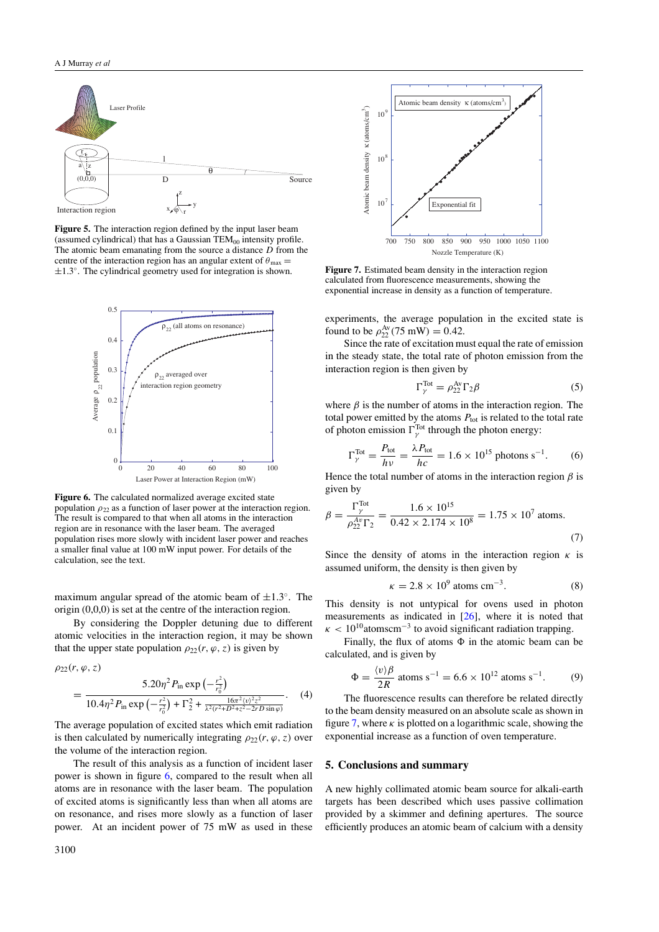<span id="page-6-0"></span>

**Figure 5.** The interaction region defined by the input laser beam (assumed cylindrical) that has a Gaussian  $TEM_{00}$  intensity profile. The atomic beam emanating from the source a distance *D* from the centre of the interaction region has an angular extent of  $\theta_{\text{max}} =$ ±1.3◦. The cylindrical geometry used for integration is shown.



**Figure 6.** The calculated normalized average excited state population  $\rho_{22}$  as a function of laser power at the interaction region. The result is compared to that when all atoms in the interaction region are in resonance with the laser beam. The averaged population rises more slowly with incident laser power and reaches a smaller final value at 100 mW input power. For details of the calculation, see the text.

maximum angular spread of the atomic beam of  $\pm 1.3^\circ$ . The origin (0,0,0) is set at the centre of the interaction region.

By considering the Doppler detuning due to different atomic velocities in the interaction region, it may be shown that the upper state population  $\rho_{22}(r, \varphi, z)$  is given by

$$
\rho_{22}(r, \varphi, z) = \frac{5.20\eta^2 P_{\text{in}} \exp\left(-\frac{r^2}{r_0^2}\right)}{10.4\eta^2 P_{\text{in}} \exp\left(-\frac{r^2}{r_0^2}\right) + \Gamma_2^2 + \frac{16\pi^2 \langle v \rangle^2 z^2}{\lambda^2 (r^2 + D^2 + z^2 - 2rD \sin \varphi)}}. \tag{4}
$$

The average population of excited states which emit radiation is then calculated by numerically integrating  $\rho_{22}(r, \varphi, z)$  over the volume of the interaction region.

The result of this analysis as a function of incident laser power is shown in figure 6, compared to the result when all atoms are in resonance with the laser beam. The population of excited atoms is significantly less than when all atoms are on resonance, and rises more slowly as a function of laser power. At an incident power of 75 mW as used in these



**Figure 7.** Estimated beam density in the interaction region calculated from fluorescence measurements, showing the exponential increase in density as a function of temperature.

experiments, the average population in the excited state is found to be  $\rho_{22}^{\text{Av}}$  (75 mW) = 0.42.

Since the rate of excitation must equal the rate of emission in the steady state, the total rate of photon emission from the interaction region is then given by

$$
\Gamma_{\gamma}^{\text{Tot}} = \rho_{22}^{\text{Av}} \Gamma_2 \beta \tag{5}
$$

where  $\beta$  is the number of atoms in the interaction region. The total power emitted by the atoms  $P_{\text{tot}}$  is related to the total rate of photon emission  $\Gamma_{\gamma}^{\text{Tot}}$  through the photon energy:

$$
\Gamma_{\gamma}^{\text{Tot}} = \frac{P_{\text{tot}}}{h\nu} = \frac{\lambda P_{\text{tot}}}{h c} = 1.6 \times 10^{15} \text{ photons s}^{-1}.
$$
 (6)

Hence the total number of atoms in the interaction region  $\beta$  is given by

$$
\beta = \frac{\Gamma_{\gamma}^{\text{Tot}}}{\rho_{22}^{\text{Av}} \Gamma_2} = \frac{1.6 \times 10^{15}}{0.42 \times 2.174 \times 10^8} = 1.75 \times 10^7 \text{ atoms.}
$$
\n(7)

Since the density of atoms in the interaction region  $\kappa$  is assumed uniform, the density is then given by

$$
\kappa = 2.8 \times 10^9 \text{ atoms cm}^{-3}.
$$
 (8)

This density is not untypical for ovens used in photon measurements as indicated in [\[26](#page-7-0)], where it is noted that  $\kappa$  < 10<sup>10</sup> atomscm<sup>-3</sup> to avoid significant radiation trapping.

Finally, the flux of atoms  $\Phi$  in the atomic beam can be calculated, and is given by

$$
\Phi = \frac{\langle v \rangle \beta}{2R} \text{ atoms s}^{-1} = 6.6 \times 10^{12} \text{ atoms s}^{-1}. \tag{9}
$$

The fluorescence results can therefore be related directly to the beam density measured on an absolute scale as shown in figure 7, where  $\kappa$  is plotted on a logarithmic scale, showing the exponential increase as a function of oven temperature.

#### **5. Conclusions and summary**

A new highly collimated atomic beam source for alkali-earth targets has been described which uses passive collimation provided by a skimmer and defining apertures. The source efficiently produces an atomic beam of calcium with a density